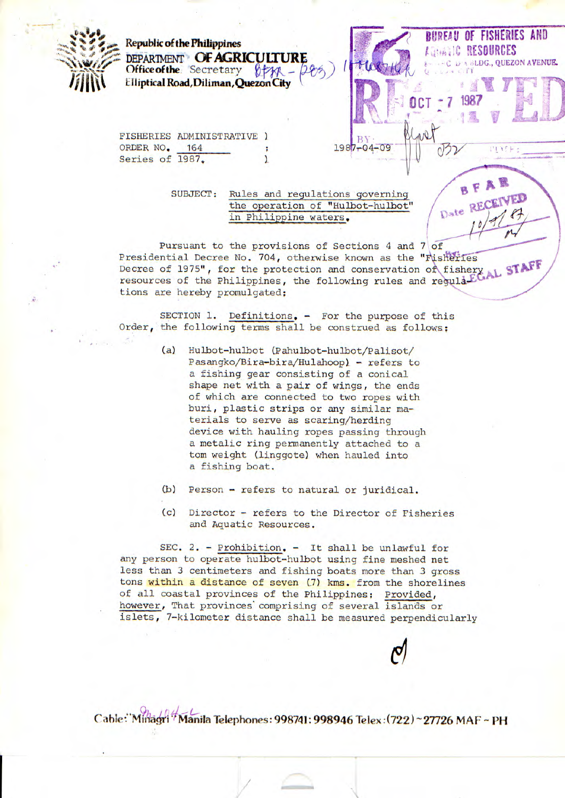

**Republicof the Philippines DEPARTMENT OF AGRICULTURE**<br>Office of the Secretary of the -**Office of the.** Secretary  $\oint \mathcal{H} - \frac{\partial \mathcal{H}}{\partial \mathcal{H}}$ <br>**Elliptical Road, Diliman, Quezon City** 

FISHERIES ADMINISTRATIVE ORDER NO, 164 Series of 1987.

> SUBJECT: Rules and regulations governing the operation of "Hulbot-hulbot" in Philippine waters,

Pursuant to the provisions of Sections 4 and 7 of Presidential Decree No. 704, otherwise known as the "Fisheries Decree of 1975", for the protection and conservation of resources of the Philippines, the following rules and regulation tions are hereby promulgated;

 $1987 - 04 - 09$ 

**EUREAU OF FISHERIES AND <b>EQUATE RESOURCES** 

BFAR

Date RECEIVED

• 3LDG., **QUEZON AVENUE.** 

 $R_{1}$  is a city

**OCT <u><b>1987</u>**</u>

SECTION 1. Definitions. - For the purpose of this Order, the following terms shall be construed as follows;

- (a) Hulbot-hulbot (Pahulbot-hulbot/Palisot/ Pasangko/Bira-bira/Hulahoop) - refers to a fishing gear consisting of a conical shape net with a pair of wings, the ends of which are connected to two ropes with buri, plastic strips or any similar materials to serve as scaring/herding device with hauling ropes passing through a metalic ring permanently attached to a tom weight (linggote) when hauled into a fishing boat.
- (b) Person refers to natural or juridical.
- (c) Director refers to the Director of Fisheries and Aquatic Resources.

SEC. 2. - Prohibition. - It shall be unlawful for any person to operate hulbot-hulbot using fine meshed net less than 3 centimeters and fishing boats more than 3 gross tons within a distance of seven (7) kms. from the shorelines of all coastal provinces of the Philippines: Provided, however, That provinces comprising of several islands or islets, 7-kilometer distance shall be measured perpendicularly

Cable:"Minagri" Manila Telephones: 998741: 998946 Telex: (722) ~ 27726 MAF ~ PH